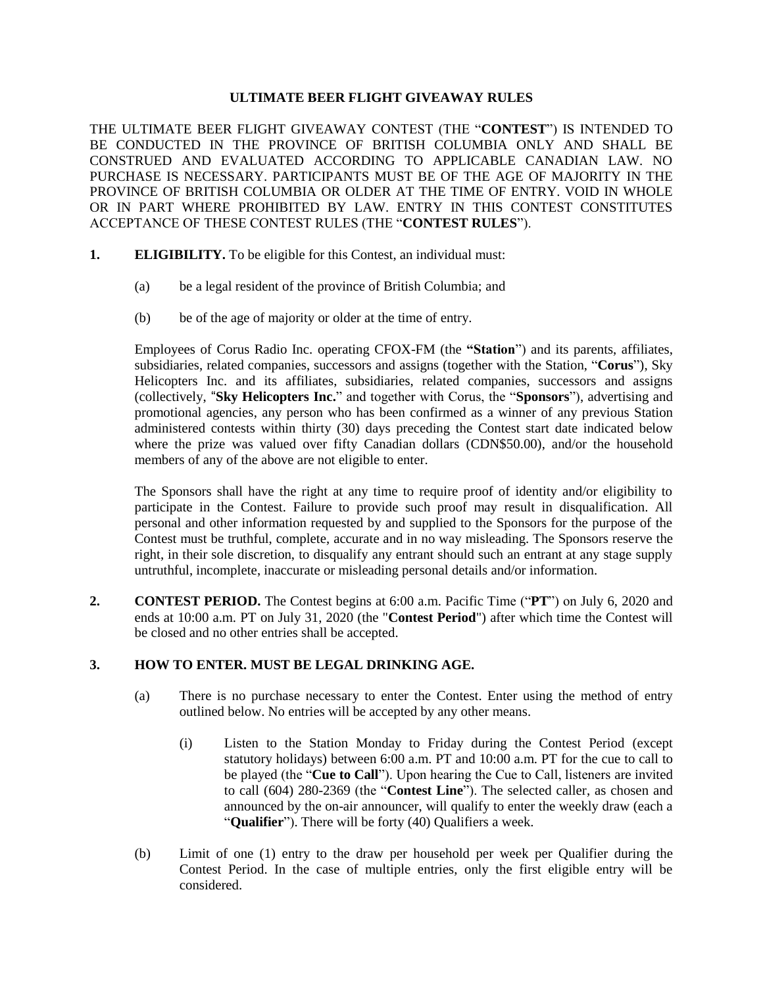#### **ULTIMATE BEER FLIGHT GIVEAWAY RULES**

THE ULTIMATE BEER FLIGHT GIVEAWAY CONTEST (THE "**CONTEST**") IS INTENDED TO BE CONDUCTED IN THE PROVINCE OF BRITISH COLUMBIA ONLY AND SHALL BE CONSTRUED AND EVALUATED ACCORDING TO APPLICABLE CANADIAN LAW. NO PURCHASE IS NECESSARY. PARTICIPANTS MUST BE OF THE AGE OF MAJORITY IN THE PROVINCE OF BRITISH COLUMBIA OR OLDER AT THE TIME OF ENTRY. VOID IN WHOLE OR IN PART WHERE PROHIBITED BY LAW. ENTRY IN THIS CONTEST CONSTITUTES ACCEPTANCE OF THESE CONTEST RULES (THE "**CONTEST RULES**").

- **1. ELIGIBILITY.** To be eligible for this Contest, an individual must:
	- (a) be a legal resident of the province of British Columbia; and
	- (b) be of the age of majority or older at the time of entry.

Employees of Corus Radio Inc. operating CFOX-FM (the **"Station**") and its parents, affiliates, subsidiaries, related companies, successors and assigns (together with the Station, "**Corus**"), Sky Helicopters Inc. and its affiliates, subsidiaries, related companies, successors and assigns (collectively, "**Sky Helicopters Inc.**" and together with Corus, the "**Sponsors**"), advertising and promotional agencies, any person who has been confirmed as a winner of any previous Station administered contests within thirty (30) days preceding the Contest start date indicated below where the prize was valued over fifty Canadian dollars (CDN\$50.00), and/or the household members of any of the above are not eligible to enter.

The Sponsors shall have the right at any time to require proof of identity and/or eligibility to participate in the Contest. Failure to provide such proof may result in disqualification. All personal and other information requested by and supplied to the Sponsors for the purpose of the Contest must be truthful, complete, accurate and in no way misleading. The Sponsors reserve the right, in their sole discretion, to disqualify any entrant should such an entrant at any stage supply untruthful, incomplete, inaccurate or misleading personal details and/or information.

**2. CONTEST PERIOD.** The Contest begins at 6:00 a.m. Pacific Time ("**PT**") on July 6, 2020 and ends at 10:00 a.m. PT on July 31, 2020 (the "**Contest Period**") after which time the Contest will be closed and no other entries shall be accepted.

### **3. HOW TO ENTER. MUST BE LEGAL DRINKING AGE.**

- (a) There is no purchase necessary to enter the Contest. Enter using the method of entry outlined below. No entries will be accepted by any other means.
	- (i) Listen to the Station Monday to Friday during the Contest Period (except statutory holidays) between 6:00 a.m. PT and 10:00 a.m. PT for the cue to call to be played (the "**Cue to Call**"). Upon hearing the Cue to Call, listeners are invited to call (604) 280-2369 (the "**Contest Line**"). The selected caller, as chosen and announced by the on-air announcer, will qualify to enter the weekly draw (each a "**Qualifier**"). There will be forty (40) Qualifiers a week.
- (b) Limit of one (1) entry to the draw per household per week per Qualifier during the Contest Period. In the case of multiple entries, only the first eligible entry will be considered.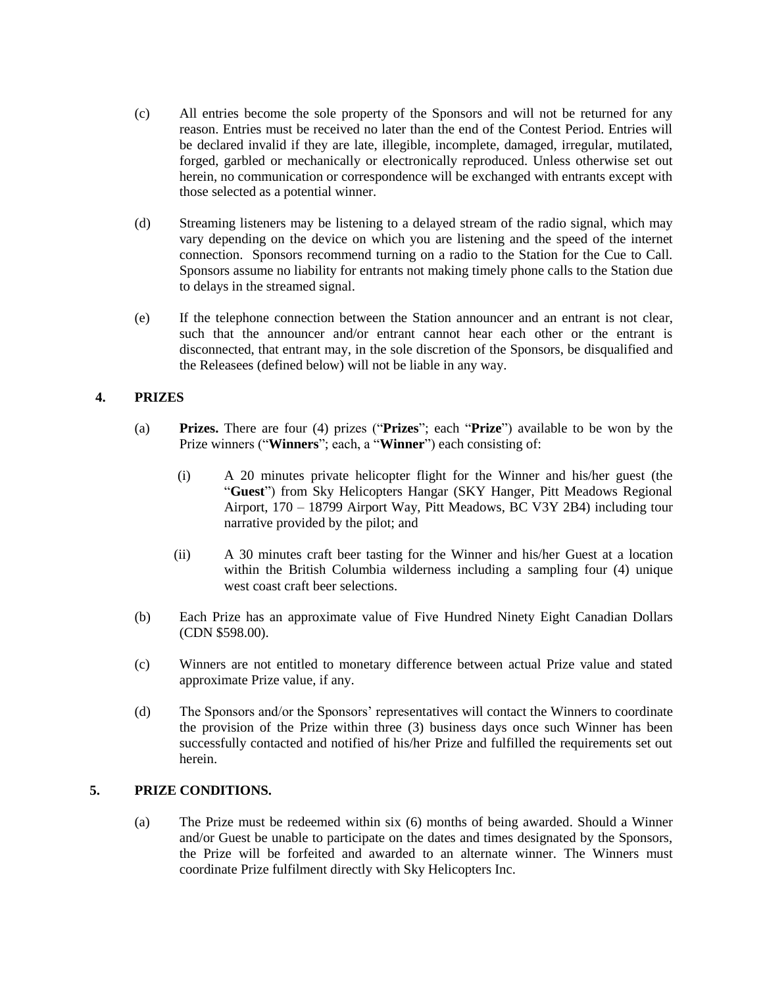- (c) All entries become the sole property of the Sponsors and will not be returned for any reason. Entries must be received no later than the end of the Contest Period. Entries will be declared invalid if they are late, illegible, incomplete, damaged, irregular, mutilated, forged, garbled or mechanically or electronically reproduced. Unless otherwise set out herein, no communication or correspondence will be exchanged with entrants except with those selected as a potential winner.
- (d) Streaming listeners may be listening to a delayed stream of the radio signal, which may vary depending on the device on which you are listening and the speed of the internet connection. Sponsors recommend turning on a radio to the Station for the Cue to Call. Sponsors assume no liability for entrants not making timely phone calls to the Station due to delays in the streamed signal.
- (e) If the telephone connection between the Station announcer and an entrant is not clear, such that the announcer and/or entrant cannot hear each other or the entrant is disconnected, that entrant may, in the sole discretion of the Sponsors, be disqualified and the Releasees (defined below) will not be liable in any way.

# **4. PRIZES**

- (a) **Prizes.** There are four (4) prizes ("**Prizes**"; each "**Prize**") available to be won by the Prize winners ("**Winners**"; each, a "**Winner**") each consisting of:
	- (i) A 20 minutes private helicopter flight for the Winner and his/her guest (the "**Guest**") from Sky Helicopters Hangar (SKY Hanger, Pitt Meadows Regional Airport, 170 – 18799 Airport Way, Pitt Meadows, BC V3Y 2B4) including tour narrative provided by the pilot; and
	- (ii) A 30 minutes craft beer tasting for the Winner and his/her Guest at a location within the British Columbia wilderness including a sampling four (4) unique west coast craft beer selections.
- (b) Each Prize has an approximate value of Five Hundred Ninety Eight Canadian Dollars (CDN \$598.00).
- (c) Winners are not entitled to monetary difference between actual Prize value and stated approximate Prize value, if any.
- (d) The Sponsors and/or the Sponsors' representatives will contact the Winners to coordinate the provision of the Prize within three (3) business days once such Winner has been successfully contacted and notified of his/her Prize and fulfilled the requirements set out herein.

## **5. PRIZE CONDITIONS.**

(a) The Prize must be redeemed within six (6) months of being awarded. Should a Winner and/or Guest be unable to participate on the dates and times designated by the Sponsors, the Prize will be forfeited and awarded to an alternate winner. The Winners must coordinate Prize fulfilment directly with Sky Helicopters Inc.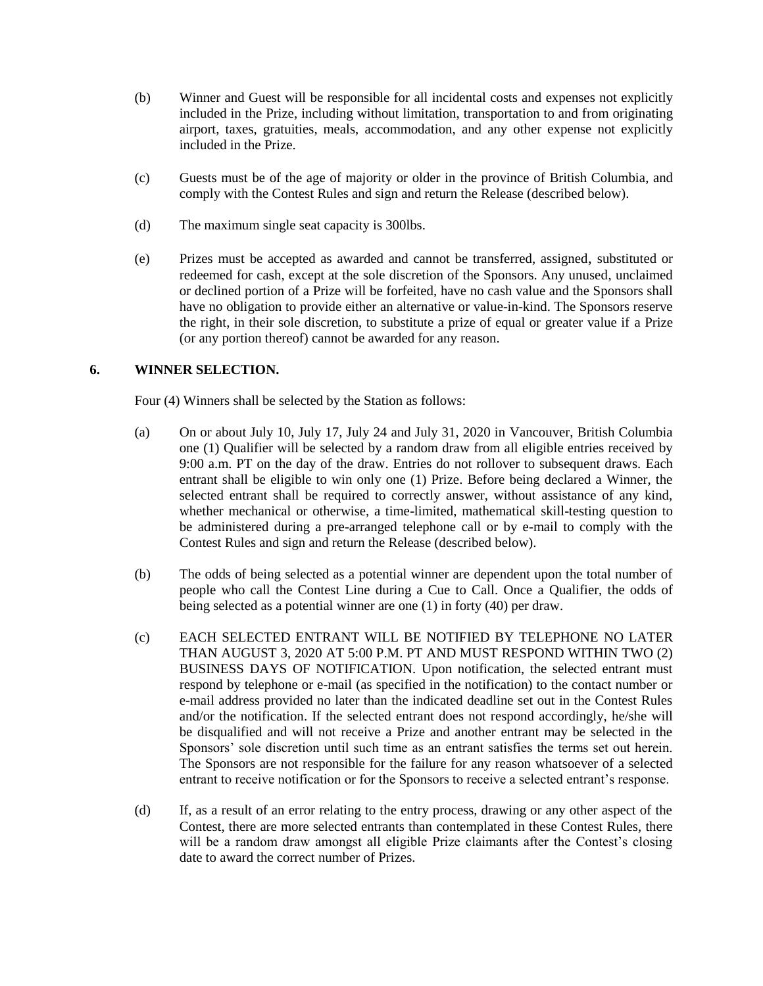- (b) Winner and Guest will be responsible for all incidental costs and expenses not explicitly included in the Prize, including without limitation, transportation to and from originating airport, taxes, gratuities, meals, accommodation, and any other expense not explicitly included in the Prize.
- (c) Guests must be of the age of majority or older in the province of British Columbia, and comply with the Contest Rules and sign and return the Release (described below).
- (d) The maximum single seat capacity is 300lbs.
- (e) Prizes must be accepted as awarded and cannot be transferred, assigned, substituted or redeemed for cash, except at the sole discretion of the Sponsors. Any unused, unclaimed or declined portion of a Prize will be forfeited, have no cash value and the Sponsors shall have no obligation to provide either an alternative or value-in-kind. The Sponsors reserve the right, in their sole discretion, to substitute a prize of equal or greater value if a Prize (or any portion thereof) cannot be awarded for any reason.

## **6. WINNER SELECTION.**

Four (4) Winners shall be selected by the Station as follows:

- (a) On or about July 10, July 17, July 24 and July 31, 2020 in Vancouver, British Columbia one (1) Qualifier will be selected by a random draw from all eligible entries received by 9:00 a.m. PT on the day of the draw. Entries do not rollover to subsequent draws. Each entrant shall be eligible to win only one (1) Prize. Before being declared a Winner, the selected entrant shall be required to correctly answer, without assistance of any kind, whether mechanical or otherwise, a time-limited, mathematical skill-testing question to be administered during a pre-arranged telephone call or by e-mail to comply with the Contest Rules and sign and return the Release (described below).
- (b) The odds of being selected as a potential winner are dependent upon the total number of people who call the Contest Line during a Cue to Call. Once a Qualifier, the odds of being selected as a potential winner are one (1) in forty (40) per draw.
- (c) EACH SELECTED ENTRANT WILL BE NOTIFIED BY TELEPHONE NO LATER THAN AUGUST 3, 2020 AT 5:00 P.M. PT AND MUST RESPOND WITHIN TWO (2) BUSINESS DAYS OF NOTIFICATION. Upon notification, the selected entrant must respond by telephone or e-mail (as specified in the notification) to the contact number or e-mail address provided no later than the indicated deadline set out in the Contest Rules and/or the notification. If the selected entrant does not respond accordingly, he/she will be disqualified and will not receive a Prize and another entrant may be selected in the Sponsors' sole discretion until such time as an entrant satisfies the terms set out herein. The Sponsors are not responsible for the failure for any reason whatsoever of a selected entrant to receive notification or for the Sponsors to receive a selected entrant's response.
- (d) If, as a result of an error relating to the entry process, drawing or any other aspect of the Contest, there are more selected entrants than contemplated in these Contest Rules, there will be a random draw amongst all eligible Prize claimants after the Contest's closing date to award the correct number of Prizes.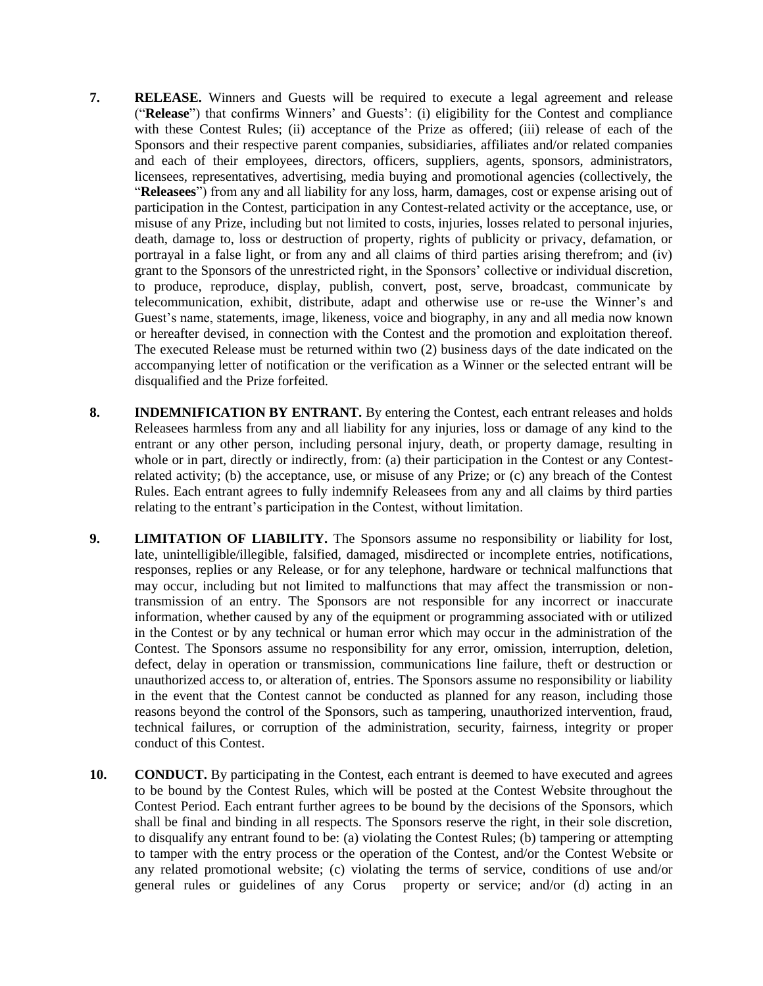- **7. RELEASE.** Winners and Guests will be required to execute a legal agreement and release ("**Release**") that confirms Winners' and Guests': (i) eligibility for the Contest and compliance with these Contest Rules; (ii) acceptance of the Prize as offered; (iii) release of each of the Sponsors and their respective parent companies, subsidiaries, affiliates and/or related companies and each of their employees, directors, officers, suppliers, agents, sponsors, administrators, licensees, representatives, advertising, media buying and promotional agencies (collectively, the "**Releasees**") from any and all liability for any loss, harm, damages, cost or expense arising out of participation in the Contest, participation in any Contest-related activity or the acceptance, use, or misuse of any Prize, including but not limited to costs, injuries, losses related to personal injuries, death, damage to, loss or destruction of property, rights of publicity or privacy, defamation, or portrayal in a false light, or from any and all claims of third parties arising therefrom; and (iv) grant to the Sponsors of the unrestricted right, in the Sponsors' collective or individual discretion, to produce, reproduce, display, publish, convert, post, serve, broadcast, communicate by telecommunication, exhibit, distribute, adapt and otherwise use or re-use the Winner's and Guest's name, statements, image, likeness, voice and biography, in any and all media now known or hereafter devised, in connection with the Contest and the promotion and exploitation thereof. The executed Release must be returned within two (2) business days of the date indicated on the accompanying letter of notification or the verification as a Winner or the selected entrant will be disqualified and the Prize forfeited.
- **8. INDEMNIFICATION BY ENTRANT.** By entering the Contest, each entrant releases and holds Releasees harmless from any and all liability for any injuries, loss or damage of any kind to the entrant or any other person, including personal injury, death, or property damage, resulting in whole or in part, directly or indirectly, from: (a) their participation in the Contest or any Contestrelated activity; (b) the acceptance, use, or misuse of any Prize; or (c) any breach of the Contest Rules. Each entrant agrees to fully indemnify Releasees from any and all claims by third parties relating to the entrant's participation in the Contest, without limitation.
- **9. LIMITATION OF LIABILITY.** The Sponsors assume no responsibility or liability for lost, late, unintelligible/illegible, falsified, damaged, misdirected or incomplete entries, notifications, responses, replies or any Release, or for any telephone, hardware or technical malfunctions that may occur, including but not limited to malfunctions that may affect the transmission or nontransmission of an entry. The Sponsors are not responsible for any incorrect or inaccurate information, whether caused by any of the equipment or programming associated with or utilized in the Contest or by any technical or human error which may occur in the administration of the Contest. The Sponsors assume no responsibility for any error, omission, interruption, deletion, defect, delay in operation or transmission, communications line failure, theft or destruction or unauthorized access to, or alteration of, entries. The Sponsors assume no responsibility or liability in the event that the Contest cannot be conducted as planned for any reason, including those reasons beyond the control of the Sponsors, such as tampering, unauthorized intervention, fraud, technical failures, or corruption of the administration, security, fairness, integrity or proper conduct of this Contest.
- **10. CONDUCT.** By participating in the Contest, each entrant is deemed to have executed and agrees to be bound by the Contest Rules, which will be posted at the Contest Website throughout the Contest Period. Each entrant further agrees to be bound by the decisions of the Sponsors, which shall be final and binding in all respects. The Sponsors reserve the right, in their sole discretion, to disqualify any entrant found to be: (a) violating the Contest Rules; (b) tampering or attempting to tamper with the entry process or the operation of the Contest, and/or the Contest Website or any related promotional website; (c) violating the terms of service, conditions of use and/or general rules or guidelines of any Corus property or service; and/or (d) acting in an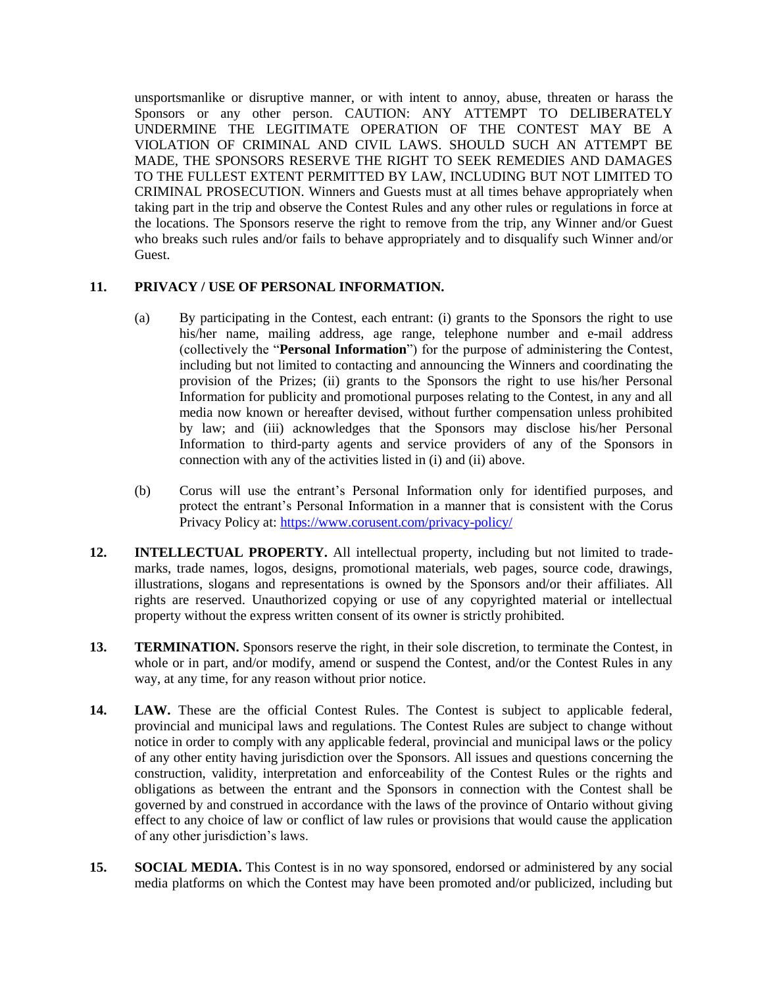unsportsmanlike or disruptive manner, or with intent to annoy, abuse, threaten or harass the Sponsors or any other person. CAUTION: ANY ATTEMPT TO DELIBERATELY UNDERMINE THE LEGITIMATE OPERATION OF THE CONTEST MAY BE A VIOLATION OF CRIMINAL AND CIVIL LAWS. SHOULD SUCH AN ATTEMPT BE MADE, THE SPONSORS RESERVE THE RIGHT TO SEEK REMEDIES AND DAMAGES TO THE FULLEST EXTENT PERMITTED BY LAW, INCLUDING BUT NOT LIMITED TO CRIMINAL PROSECUTION. Winners and Guests must at all times behave appropriately when taking part in the trip and observe the Contest Rules and any other rules or regulations in force at the locations. The Sponsors reserve the right to remove from the trip, any Winner and/or Guest who breaks such rules and/or fails to behave appropriately and to disqualify such Winner and/or Guest.

### **11. PRIVACY / USE OF PERSONAL INFORMATION.**

- (a) By participating in the Contest, each entrant: (i) grants to the Sponsors the right to use his/her name, mailing address, age range, telephone number and e-mail address (collectively the "**Personal Information**") for the purpose of administering the Contest, including but not limited to contacting and announcing the Winners and coordinating the provision of the Prizes; (ii) grants to the Sponsors the right to use his/her Personal Information for publicity and promotional purposes relating to the Contest, in any and all media now known or hereafter devised, without further compensation unless prohibited by law; and (iii) acknowledges that the Sponsors may disclose his/her Personal Information to third-party agents and service providers of any of the Sponsors in connection with any of the activities listed in (i) and (ii) above.
- (b) Corus will use the entrant's Personal Information only for identified purposes, and protect the entrant's Personal Information in a manner that is consistent with the Corus Privacy Policy at: <https://www.corusent.com/privacy-policy/>
- **12. INTELLECTUAL PROPERTY.** All intellectual property, including but not limited to trademarks, trade names, logos, designs, promotional materials, web pages, source code, drawings, illustrations, slogans and representations is owned by the Sponsors and/or their affiliates. All rights are reserved. Unauthorized copying or use of any copyrighted material or intellectual property without the express written consent of its owner is strictly prohibited.
- **13. TERMINATION.** Sponsors reserve the right, in their sole discretion, to terminate the Contest, in whole or in part, and/or modify, amend or suspend the Contest, and/or the Contest Rules in any way, at any time, for any reason without prior notice.
- **14. LAW.** These are the official Contest Rules. The Contest is subject to applicable federal, provincial and municipal laws and regulations. The Contest Rules are subject to change without notice in order to comply with any applicable federal, provincial and municipal laws or the policy of any other entity having jurisdiction over the Sponsors. All issues and questions concerning the construction, validity, interpretation and enforceability of the Contest Rules or the rights and obligations as between the entrant and the Sponsors in connection with the Contest shall be governed by and construed in accordance with the laws of the province of Ontario without giving effect to any choice of law or conflict of law rules or provisions that would cause the application of any other jurisdiction's laws.
- **15. SOCIAL MEDIA.** This Contest is in no way sponsored, endorsed or administered by any social media platforms on which the Contest may have been promoted and/or publicized, including but